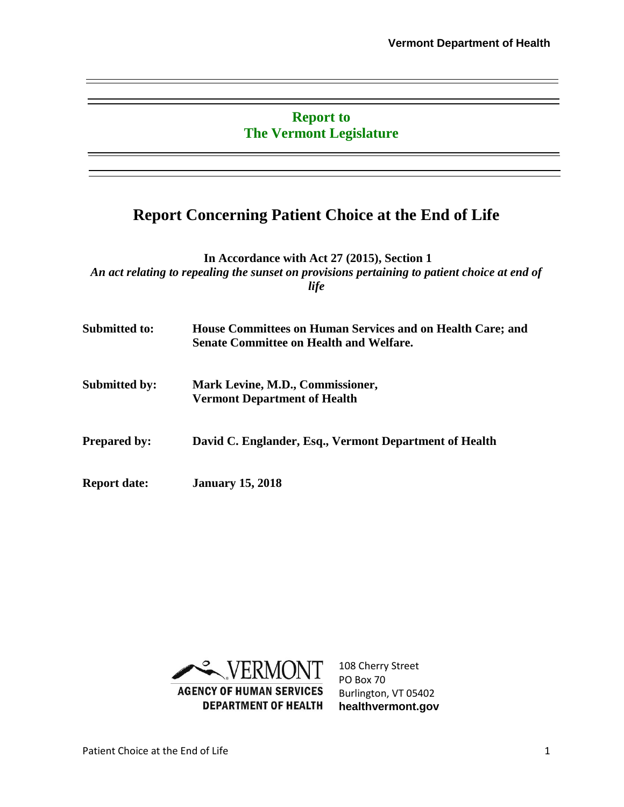#### **Report to The Vermont Legislature**

### **Report Concerning Patient Choice at the End of Life**

**In Accordance with Act 27 (2015), Section 1** *An act relating to repealing the sunset on provisions pertaining to patient choice at end of life* 

| Submitted to:        | House Committees on Human Services and on Health Care; and<br><b>Senate Committee on Health and Welfare.</b> |  |
|----------------------|--------------------------------------------------------------------------------------------------------------|--|
| <b>Submitted by:</b> | Mark Levine, M.D., Commissioner,<br><b>Vermont Department of Health</b>                                      |  |
| <b>Prepared by:</b>  | David C. Englander, Esq., Vermont Department of Health                                                       |  |
| <b>Report date:</b>  | <b>January 15, 2018</b>                                                                                      |  |



108 Cherry Street PO Box 70 Burlington, VT 05402 **healthvermont.gov**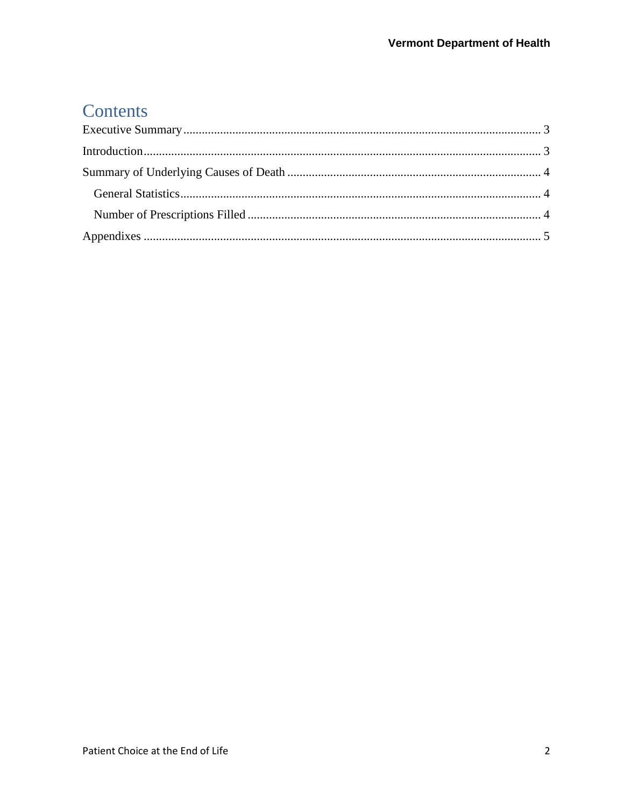# Contents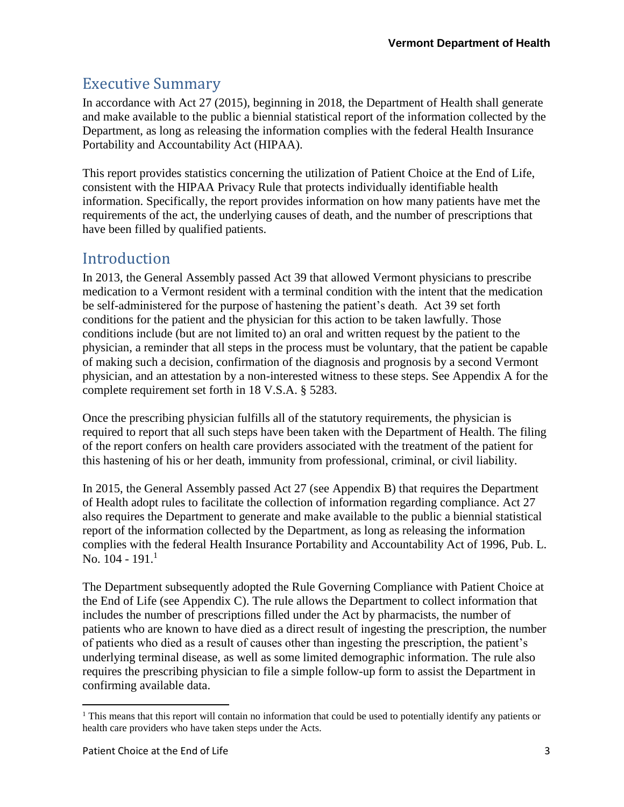## <span id="page-2-0"></span>Executive Summary

In accordance with Act 27 (2015), beginning in 2018, the Department of Health shall generate and make available to the public a biennial statistical report of the information collected by the Department, as long as releasing the information complies with the federal Health Insurance Portability and Accountability Act (HIPAA).

This report provides statistics concerning the utilization of Patient Choice at the End of Life, consistent with the HIPAA Privacy Rule that protects individually identifiable health information. Specifically, the report provides information on how many patients have met the requirements of the act, the underlying causes of death, and the number of prescriptions that have been filled by qualified patients.

#### <span id="page-2-1"></span>Introduction

In 2013, the General Assembly passed Act 39 that allowed Vermont physicians to prescribe medication to a Vermont resident with a terminal condition with the intent that the medication be self-administered for the purpose of hastening the patient's death. Act 39 set forth conditions for the patient and the physician for this action to be taken lawfully. Those conditions include (but are not limited to) an oral and written request by the patient to the physician, a reminder that all steps in the process must be voluntary, that the patient be capable of making such a decision, confirmation of the diagnosis and prognosis by a second Vermont physician, and an attestation by a non-interested witness to these steps. See Appendix A for the complete requirement set forth in 18 V.S.A. § 5283.

Once the prescribing physician fulfills all of the statutory requirements, the physician is required to report that all such steps have been taken with the Department of Health. The filing of the report confers on health care providers associated with the treatment of the patient for this hastening of his or her death, immunity from professional, criminal, or civil liability.

In 2015, the General Assembly passed Act 27 (see Appendix B) that requires the Department of Health adopt rules to facilitate the collection of information regarding compliance. Act 27 also requires the Department to generate and make available to the public a biennial statistical report of the information collected by the Department, as long as releasing the information complies with the federal Health Insurance Portability and Accountability Act of 1996, Pub. L. No.  $104 - 191.$ <sup>1</sup>

The Department subsequently adopted the Rule Governing Compliance with Patient Choice at the End of Life (see Appendix C). The rule allows the Department to collect information that includes the number of prescriptions filled under the Act by pharmacists, the number of patients who are known to have died as a direct result of ingesting the prescription, the number of patients who died as a result of causes other than ingesting the prescription, the patient's underlying terminal disease, as well as some limited demographic information. The rule also requires the prescribing physician to file a simple follow-up form to assist the Department in confirming available data.

 $\overline{a}$ 

<sup>&</sup>lt;sup>1</sup> This means that this report will contain no information that could be used to potentially identify any patients or health care providers who have taken steps under the Acts.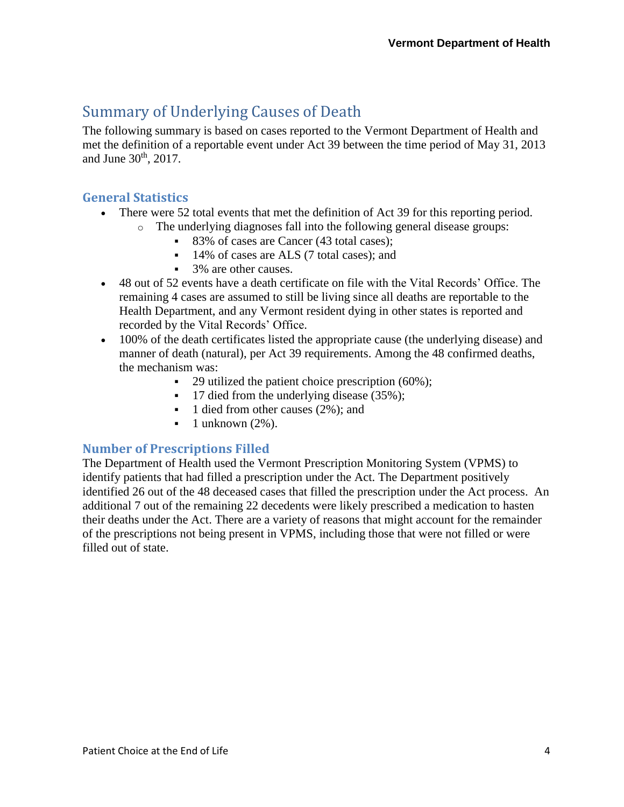### <span id="page-3-0"></span>Summary of Underlying Causes of Death

The following summary is based on cases reported to the Vermont Department of Health and met the definition of a reportable event under Act 39 between the time period of May 31, 2013 and June 30<sup>th</sup>, 2017.

#### <span id="page-3-1"></span>**General Statistics**

- There were 52 total events that met the definition of Act 39 for this reporting period.
	- o The underlying diagnoses fall into the following general disease groups:
		- 83% of cases are Cancer (43 total cases);
		- 14% of cases are ALS (7 total cases); and
		- 3% are other causes.
- 48 out of 52 events have a death certificate on file with the Vital Records' Office. The remaining 4 cases are assumed to still be living since all deaths are reportable to the Health Department, and any Vermont resident dying in other states is reported and recorded by the Vital Records' Office.
- 100% of the death certificates listed the appropriate cause (the underlying disease) and manner of death (natural), per Act 39 requirements. Among the 48 confirmed deaths, the mechanism was:
	- $\blacksquare$  29 utilized the patient choice prescription (60%);
	- 17 died from the underlying disease (35%);
	- 1 died from other causes (2%); and
	- $\blacksquare$  1 unknown (2%).

#### <span id="page-3-2"></span>**Number of Prescriptions Filled**

The Department of Health used the Vermont Prescription Monitoring System (VPMS) to identify patients that had filled a prescription under the Act. The Department positively identified 26 out of the 48 deceased cases that filled the prescription under the Act process. An additional 7 out of the remaining 22 decedents were likely prescribed a medication to hasten their deaths under the Act. There are a variety of reasons that might account for the remainder of the prescriptions not being present in VPMS, including those that were not filled or were filled out of state.